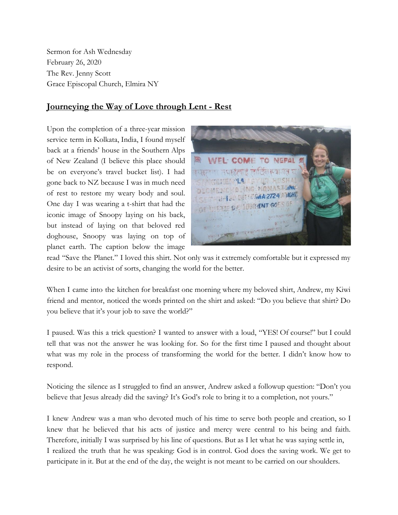Sermon for Ash Wednesday February 26, 2020 The Rev. Jenny Scott Grace Episcopal Church, Elmira NY

## **Journeying the Way of Love through Lent - Rest**

Upon the completion of a three-year mission service term in Kolkata, India, I found myself back at a friends' house in the Southern Alps of New Zealand (I believe this place should be on everyone's travel bucket list). I had gone back to NZ because I was in much need of rest to restore my weary body and soul. One day I was wearing a t-shirt that had the iconic image of Snoopy laying on his back, but instead of laying on that beloved red doghouse, Snoopy was laying on top of planet earth. The caption below the image



read "Save the Planet." I loved this shirt. Not only was it extremely comfortable but it expressed my desire to be an activist of sorts, changing the world for the better.

When I came into the kitchen for breakfast one morning where my beloved shirt, Andrew, my Kiwi friend and mentor, noticed the words printed on the shirt and asked: "Do you believe that shirt? Do you believe that it's your job to save the world?"

I paused. Was this a trick question? I wanted to answer with a loud, "YES! Of course!" but I could tell that was not the answer he was looking for. So for the first time I paused and thought about what was my role in the process of transforming the world for the better. I didn't know how to respond.

Noticing the silence as I struggled to find an answer, Andrew asked a followup question: "Don't you believe that Jesus already did the saving? It's God's role to bring it to a completion, not yours."

I knew Andrew was a man who devoted much of his time to serve both people and creation, so I knew that he believed that his acts of justice and mercy were central to his being and faith. Therefore, initially I was surprised by his line of questions. But as I let what he was saying settle in, I realized the truth that he was speaking: God is in control. God does the saving work. We get to participate in it. But at the end of the day, the weight is not meant to be carried on our shoulders.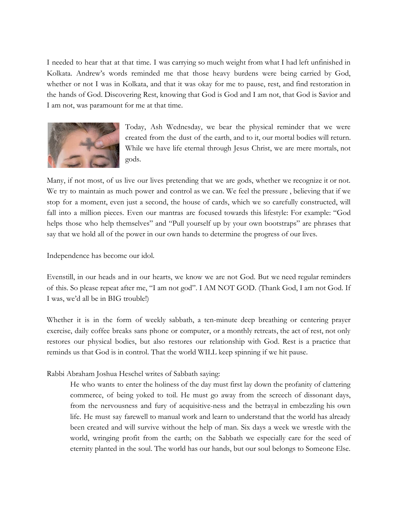I needed to hear that at that time. I was carrying so much weight from what I had left unfinished in Kolkata. Andrew's words reminded me that those heavy burdens were being carried by God, whether or not I was in Kolkata, and that it was okay for me to pause, rest, and find restoration in the hands of God. Discovering Rest, knowing that God is God and I am not, that God is Savior and I am not, was paramount for me at that time.



Today, Ash Wednesday, we bear the physical reminder that we were created from the dust of the earth, and to it, our mortal bodies will return. While we have life eternal through Jesus Christ, we are mere mortals, not gods.

Many, if not most, of us live our lives pretending that we are gods, whether we recognize it or not. We try to maintain as much power and control as we can. We feel the pressure , believing that if we stop for a moment, even just a second, the house of cards, which we so carefully constructed, will fall into a million pieces. Even our mantras are focused towards this lifestyle: For example: "God helps those who help themselves" and "Pull yourself up by your own bootstraps" are phrases that say that we hold all of the power in our own hands to determine the progress of our lives.

Independence has become our idol.

Evenstill, in our heads and in our hearts, we know we are not God. But we need regular reminders of this. So please repeat after me, "I am not god". I AM NOT GOD. (Thank God, I am not God. If I was, we'd all be in BIG trouble!)

Whether it is in the form of weekly sabbath, a ten-minute deep breathing or centering prayer exercise, daily coffee breaks sans phone or computer, or a monthly retreats, the act of rest, not only restores our physical bodies, but also restores our relationship with God. Rest is a practice that reminds us that God is in control. That the world WILL keep spinning if we hit pause.

Rabbi Abraham Joshua Heschel writes of Sabbath saying:

He who wants to enter the holiness of the day must first lay down the profanity of clattering commerce, of being yoked to toil. He must go away from the screech of dissonant days, from the nervousness and fury of acquisitive-ness and the betrayal in embezzling his own life. He must say farewell to manual work and learn to understand that the world has already been created and will survive without the help of man. Six days a week we wrestle with the world, wringing profit from the earth; on the Sabbath we especially care for the seed of eternity planted in the soul. The world has our hands, but our soul belongs to Someone Else.